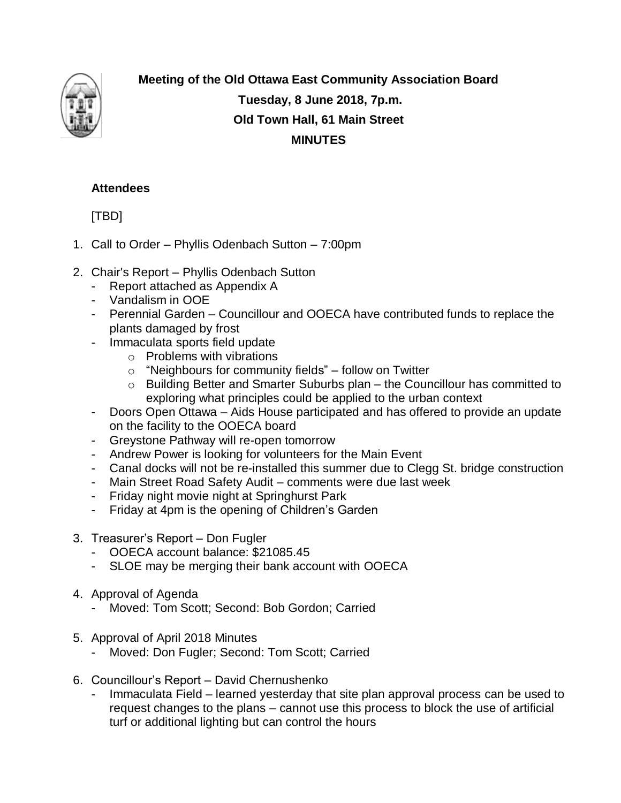

**Meeting of the Old Ottawa East Community Association Board Tuesday, 8 June 2018, 7p.m. Old Town Hall, 61 Main Street MINUTES**

## **Attendees**

[TBD]

- 1. Call to Order Phyllis Odenbach Sutton 7:00pm
- 2. Chair's Report Phyllis Odenbach Sutton
	- Report attached as Appendix A
	- Vandalism in OOE
	- Perennial Garden Councillour and OOECA have contributed funds to replace the plants damaged by frost
	- Immaculata sports field update
		- o Problems with vibrations
		- o "Neighbours for community fields" follow on Twitter
		- o Building Better and Smarter Suburbs plan the Councillour has committed to exploring what principles could be applied to the urban context
	- Doors Open Ottawa Aids House participated and has offered to provide an update on the facility to the OOECA board
	- Greystone Pathway will re-open tomorrow
	- Andrew Power is looking for volunteers for the Main Event
	- Canal docks will not be re-installed this summer due to Clegg St. bridge construction
	- Main Street Road Safety Audit comments were due last week
	- Friday night movie night at Springhurst Park
	- Friday at 4pm is the opening of Children's Garden
- 3. Treasurer's Report Don Fugler
	- OOECA account balance: \$21085.45
	- SLOE may be merging their bank account with OOECA
- 4. Approval of Agenda
	- Moved: Tom Scott; Second: Bob Gordon; Carried
- 5. Approval of April 2018 Minutes
	- Moved: Don Fugler; Second: Tom Scott; Carried
- 6. Councillour's Report David Chernushenko
	- Immaculata Field learned yesterday that site plan approval process can be used to request changes to the plans – cannot use this process to block the use of artificial turf or additional lighting but can control the hours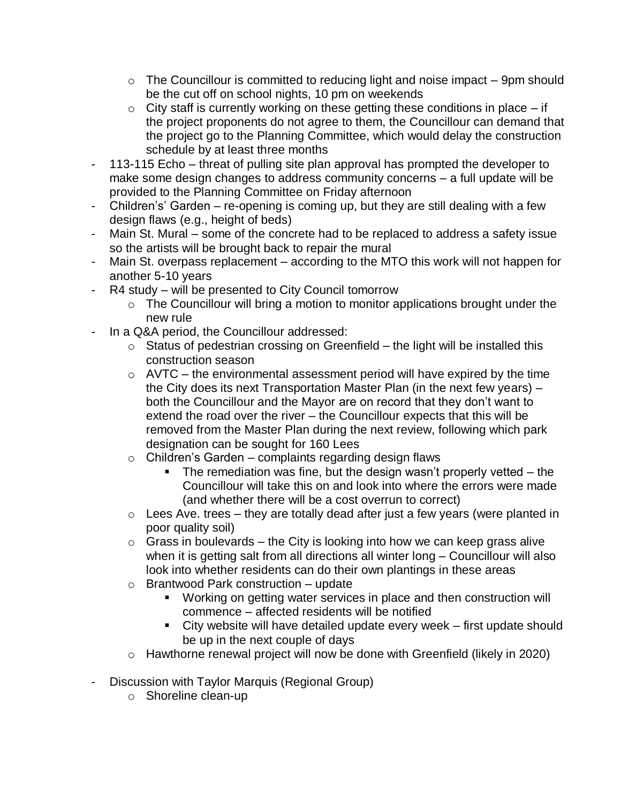- $\circ$  The Councillour is committed to reducing light and noise impact  $-$  9pm should be the cut off on school nights, 10 pm on weekends
- $\circ$  City staff is currently working on these getting these conditions in place if the project proponents do not agree to them, the Councillour can demand that the project go to the Planning Committee, which would delay the construction schedule by at least three months
- 113-115 Echo threat of pulling site plan approval has prompted the developer to make some design changes to address community concerns – a full update will be provided to the Planning Committee on Friday afternoon
- Children's' Garden re-opening is coming up, but they are still dealing with a few design flaws (e.g., height of beds)
- Main St. Mural some of the concrete had to be replaced to address a safety issue so the artists will be brought back to repair the mural
- Main St. overpass replacement according to the MTO this work will not happen for another 5-10 years
- R4 study will be presented to City Council tomorrow
	- $\circ$  The Councillour will bring a motion to monitor applications brought under the new rule
- In a Q&A period, the Councillour addressed:
	- $\circ$  Status of pedestrian crossing on Greenfield the light will be installed this construction season
	- $\circ$  AVTC the environmental assessment period will have expired by the time the City does its next Transportation Master Plan (in the next few years) – both the Councillour and the Mayor are on record that they don't want to extend the road over the river – the Councillour expects that this will be removed from the Master Plan during the next review, following which park designation can be sought for 160 Lees
	- $\circ$  Children's Garden complaints regarding design flaws
		- $\blacksquare$  The remediation was fine, but the design wasn't properly vetted the Councillour will take this on and look into where the errors were made (and whether there will be a cost overrun to correct)
	- $\circ$  Lees Ave. trees they are totally dead after just a few years (were planted in poor quality soil)
	- $\circ$  Grass in boulevards the City is looking into how we can keep grass alive when it is getting salt from all directions all winter long – Councillour will also look into whether residents can do their own plantings in these areas
	- o Brantwood Park construction update
		- Working on getting water services in place and then construction will commence – affected residents will be notified
		- City website will have detailed update every week first update should be up in the next couple of days
	- o Hawthorne renewal project will now be done with Greenfield (likely in 2020)
- Discussion with Taylor Marquis (Regional Group)
	- o Shoreline clean-up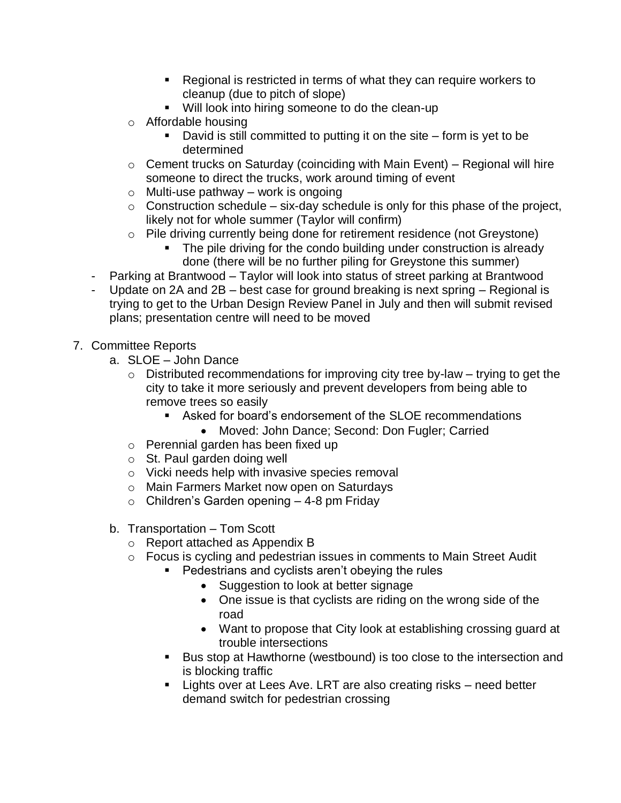- Regional is restricted in terms of what they can require workers to cleanup (due to pitch of slope)
- **Will look into hiring someone to do the clean-up**
- o Affordable housing
	- David is still committed to putting it on the site form is yet to be determined
- $\circ$  Cement trucks on Saturday (coinciding with Main Event) Regional will hire someone to direct the trucks, work around timing of event
- $\circ$  Multi-use pathway work is ongoing
- $\circ$  Construction schedule six-day schedule is only for this phase of the project, likely not for whole summer (Taylor will confirm)
- o Pile driving currently being done for retirement residence (not Greystone)
	- The pile driving for the condo building under construction is already done (there will be no further piling for Greystone this summer)
- Parking at Brantwood Taylor will look into status of street parking at Brantwood
- Update on 2A and 2B best case for ground breaking is next spring Regional is trying to get to the Urban Design Review Panel in July and then will submit revised plans; presentation centre will need to be moved
- 7. Committee Reports
	- a. SLOE John Dance
		- $\circ$  Distributed recommendations for improving city tree by-law trying to get the city to take it more seriously and prevent developers from being able to remove trees so easily
			- Asked for board's endorsement of the SLOE recommendations
				- Moved: John Dance; Second: Don Fugler; Carried
		- o Perennial garden has been fixed up
		- o St. Paul garden doing well
		- o Vicki needs help with invasive species removal
		- o Main Farmers Market now open on Saturdays
		- $\circ$  Children's Garden opening  $-$  4-8 pm Friday
	- b. Transportation Tom Scott
		- o Report attached as Appendix B
		- o Focus is cycling and pedestrian issues in comments to Main Street Audit
			- Pedestrians and cyclists aren't obeying the rules
				- Suggestion to look at better signage
				- One issue is that cyclists are riding on the wrong side of the road
				- Want to propose that City look at establishing crossing guard at trouble intersections
			- Bus stop at Hawthorne (westbound) is too close to the intersection and is blocking traffic
			- **EXTERGHT Lights over at Lees Ave. LRT are also creating risks need better** demand switch for pedestrian crossing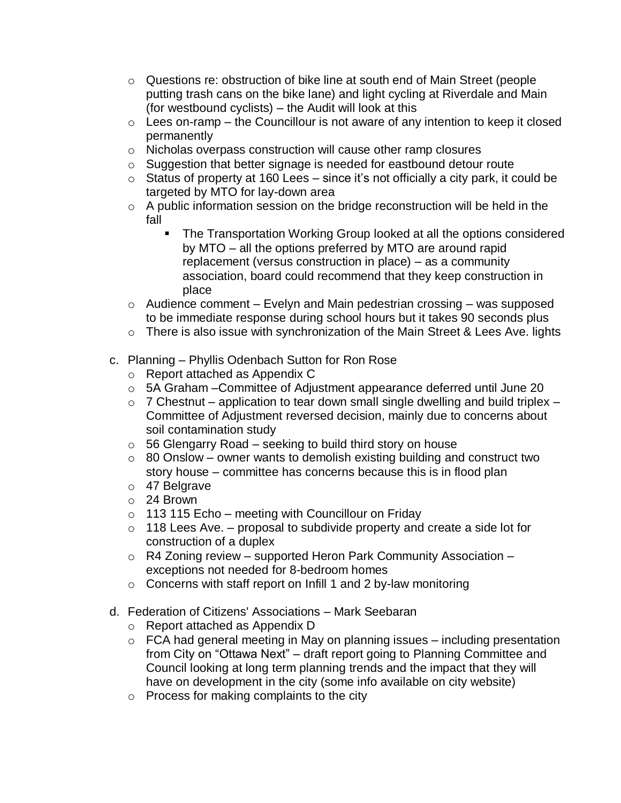- $\circ$  Questions re: obstruction of bike line at south end of Main Street (people putting trash cans on the bike lane) and light cycling at Riverdale and Main (for westbound cyclists) – the Audit will look at this
- $\circ$  Lees on-ramp the Councillour is not aware of any intention to keep it closed permanently
- o Nicholas overpass construction will cause other ramp closures
- o Suggestion that better signage is needed for eastbound detour route
- $\circ$  Status of property at 160 Lees since it's not officially a city park, it could be targeted by MTO for lay-down area
- o A public information session on the bridge reconstruction will be held in the fall
	- The Transportation Working Group looked at all the options considered by MTO – all the options preferred by MTO are around rapid replacement (versus construction in place) – as a community association, board could recommend that they keep construction in place
- $\circ$  Audience comment Evelyn and Main pedestrian crossing was supposed to be immediate response during school hours but it takes 90 seconds plus
- o There is also issue with synchronization of the Main Street & Lees Ave. lights
- c. Planning Phyllis Odenbach Sutton for Ron Rose
	- o Report attached as Appendix C
	- o 5A Graham –Committee of Adjustment appearance deferred until June 20
	- $\circ$  7 Chestnut application to tear down small single dwelling and build triplex Committee of Adjustment reversed decision, mainly due to concerns about soil contamination study
	- $\circ$  56 Glengarry Road seeking to build third story on house
	- $\circ$  80 Onslow owner wants to demolish existing building and construct two story house – committee has concerns because this is in flood plan
	- o 47 Belgrave
	- o 24 Brown
	- $\circ$  113 115 Echo meeting with Councillour on Friday
	- $\circ$  118 Lees Ave. proposal to subdivide property and create a side lot for construction of a duplex
	- o R4 Zoning review supported Heron Park Community Association exceptions not needed for 8-bedroom homes
	- o Concerns with staff report on Infill 1 and 2 by-law monitoring
- d. Federation of Citizens' Associations Mark Seebaran
	- o Report attached as Appendix D
	- $\circ$  FCA had general meeting in May on planning issues including presentation from City on "Ottawa Next" – draft report going to Planning Committee and Council looking at long term planning trends and the impact that they will have on development in the city (some info available on city website)
	- o Process for making complaints to the city